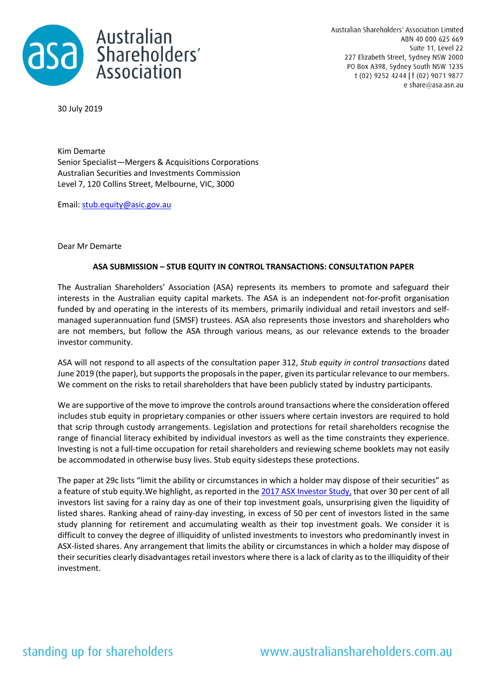

Australian Shareholders' Association Limited ABN 40 000 625 669 Suite 11, Level 22 227 Elizabeth Street, Sydney NSW 2000 PO Box A398, Sydney South NSW 1235 t (02) 9252 4244 | f (02) 9071 9877 e share@asa.asn.au

30 July 2019

Kim Demarte Senior Specialist—Mergers & Acquisitions Corporations Australian Securities and Investments Commission Level 7, 120 Collins Street, Melbourne, VIC, 3000

Email: stub.equity@asic.gov.au

Dear Mr Demarte

## **ASA SUBMISSION – STUB EQUITY IN CONTROL TRANSACTIONS: CONSULTATION PAPER**

The Australian Shareholders' Association (ASA) represents its members to promote and safeguard their interests in the Australian equity capital markets. The ASA is an independent not-for-profit organisation funded by and operating in the interests of its members, primarily individual and retail investors and selfmanaged superannuation fund (SMSF) trustees. ASA also represents those investors and shareholders who are not members, but follow the ASA through various means, as our relevance extends to the broader investor community.

ASA will not respond to all aspects of the consultation paper 312, *Stub equity in control transactions* dated June 2019 (the paper), but supports the proposals in the paper, given its particular relevance to our members. We comment on the risks to retail shareholders that have been publicly stated by industry participants.

We are supportive of the move to improve the controls around transactions where the consideration offered includes stub equity in proprietary companies or other issuers where certain investors are required to hold that scrip through custody arrangements. Legislation and protections for retail shareholders recognise the range of financial literacy exhibited by individual investors as well as the time constraints they experience. Investing is not a full-time occupation for retail shareholders and reviewing scheme booklets may not easily be accommodated in otherwise busy lives. Stub equity sidesteps these protections.

The paper at 29c lists "limit the ability or circumstances in which a holder may dispose of their securities" as a feature of stub equity. We highlight, as reported in the 2017 ASX Investor Study, that over 30 per cent of all investors list saving for a rainy day as one of their top investment goals, unsurprising given the liquidity of listed shares. Ranking ahead of rainy-day investing, in excess of 50 per cent of investors listed in the same study planning for retirement and accumulating wealth as their top investment goals. We consider it is difficult to convey the degree of illiquidity of unlisted investments to investors who predominantly invest in ASX-listed shares. Any arrangement that limits the ability or circumstances in which a holder may dispose of their securities clearly disadvantages retail investors where there is a lack of clarity as to the illiquidity of their investment.

## standing up for shareholders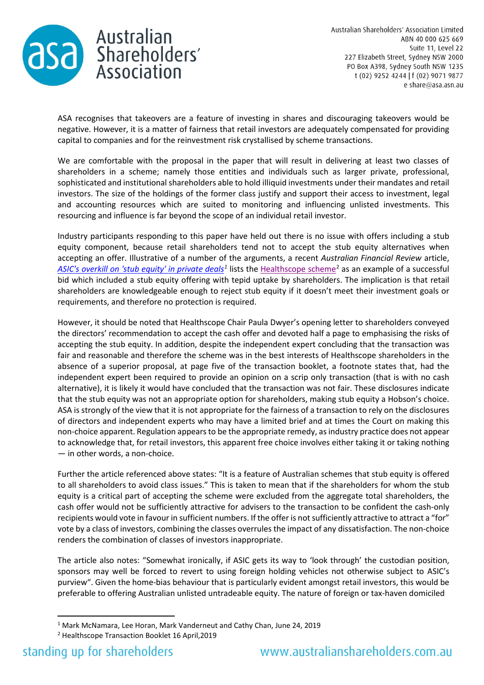

ASA recognises that takeovers are a feature of investing in shares and discouraging takeovers would be negative. However, it is a matter of fairness that retail investors are adequately compensated for providing capital to companies and for the reinvestment risk crystallised by scheme transactions.

We are comfortable with the proposal in the paper that will result in delivering at least two classes of shareholders in a scheme; namely those entities and individuals such as larger private, professional, sophisticated and institutional shareholders able to hold illiquid investments under their mandates and retail investors. The size of the holdings of the former class justify and support their access to investment, legal and accounting resources which are suited to monitoring and influencing unlisted investments. This resourcing and influence is far beyond the scope of an individual retail investor.

Industry participants responding to this paper have held out there is no issue with offers including a stub equity component, because retail shareholders tend not to accept the stub equity alternatives when accepting an offer. Illustrative of a number of the arguments, a recent *Australian Financial Review* article, *ASIC's overkill on 'stub equity' in private deals<sup>1</sup>* lists the Healthscope scheme<sup>2</sup> as an example of a successful bid which included a stub equity offering with tepid uptake by shareholders. The implication is that retail shareholders are knowledgeable enough to reject stub equity if it doesn't meet their investment goals or requirements, and therefore no protection is required.

However, it should be noted that Healthscope Chair Paula Dwyer's opening letter to shareholders conveyed the directors' recommendation to accept the cash offer and devoted half a page to emphasising the risks of accepting the stub equity. In addition, despite the independent expert concluding that the transaction was fair and reasonable and therefore the scheme was in the best interests of Healthscope shareholders in the absence of a superior proposal, at page five of the transaction booklet, a footnote states that, had the independent expert been required to provide an opinion on a scrip only transaction (that is with no cash alternative), it is likely it would have concluded that the transaction was not fair. These disclosures indicate that the stub equity was not an appropriate option for shareholders, making stub equity a Hobson's choice. ASA is strongly of the view that it is not appropriate for the fairness of a transaction to rely on the disclosures of directors and independent experts who may have a limited brief and at times the Court on making this non-choice apparent. Regulation appears to be the appropriate remedy, as industry practice does not appear to acknowledge that, for retail investors, this apparent free choice involves either taking it or taking nothing — in other words, a non-choice.

Further the article referenced above states: "It is a feature of Australian schemes that stub equity is offered to all shareholders to avoid class issues." This is taken to mean that if the shareholders for whom the stub equity is a critical part of accepting the scheme were excluded from the aggregate total shareholders, the cash offer would not be sufficiently attractive for advisers to the transaction to be confident the cash-only recipients would vote in favour in sufficient numbers. If the offer is not sufficiently attractive to attract a "for" vote by a class of investors, combining the classes overrules the impact of any dissatisfaction. The non-choice renders the combination of classes of investors inappropriate.

The article also notes: "Somewhat ironically, if ASIC gets its way to 'look through' the custodian position, sponsors may well be forced to revert to using foreign holding vehicles not otherwise subject to ASIC's purview". Given the home-bias behaviour that is particularly evident amongst retail investors, this would be preferable to offering Australian unlisted untradeable equity. The nature of foreign or tax-haven domiciled

<sup>1</sup> Mark McNamara, Lee Horan, Mark Vanderneut and Cathy Chan, June 24, 2019

<sup>2</sup> Healthscope Transaction Booklet 16 April,2019